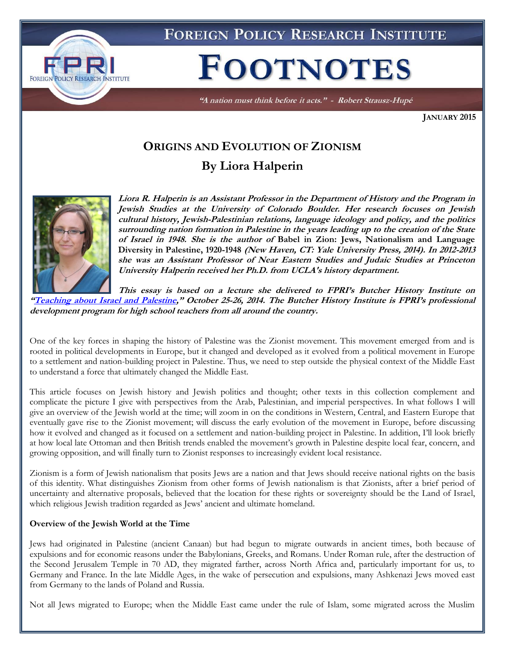

FOREIGN POLICY RESEARCH INSTITUTE

# **FOOTNOTES**

"A nation must think before it acts." - Robert Strausz-Hupé

**JANUARY 2015**

# **ORIGINS AND EVOLUTION OF ZIONISM By Liora Halperin**



**Liora R. Halperin is an Assistant Professor in the Department of History and the Program in Jewish Studies at the University of Colorado Boulder. Her research focuses on Jewish cultural history, Jewish-Palestinian relations, language ideology and policy, and the politics surrounding nation formation in Palestine in the years leading up to the creation of the State of Israel in 1948. She is the author of Babel in Zion: Jews, Nationalism and Language Diversity in Palestine, 1920-1948 (New Haven, CT: Yale University Press, 2014). In 2012-2013 she was an Assistant Professor of Near Eastern Studies and Judaic Studies at Princeton University Halperin received her Ph.D. from UCLA's history department.**

**This essay is based on a lecture she delivered to FPRI's Butcher History Institute on "[Teaching about Israel and Palestine](http://www.fpri.org/events/2014/10/teaching-about-israel-and-palestine)," October 25-26, 2014. The Butcher History Institute is FPRI's professional development program for high school teachers from all around the country.**

One of the key forces in shaping the history of Palestine was the Zionist movement. This movement emerged from and is rooted in political developments in Europe, but it changed and developed as it evolved from a political movement in Europe to a settlement and nation-building project in Palestine. Thus, we need to step outside the physical context of the Middle East to understand a force that ultimately changed the Middle East.

This article focuses on Jewish history and Jewish politics and thought; other texts in this collection complement and complicate the picture I give with perspectives from the Arab, Palestinian, and imperial perspectives. In what follows I will give an overview of the Jewish world at the time; will zoom in on the conditions in Western, Central, and Eastern Europe that eventually gave rise to the Zionist movement; will discuss the early evolution of the movement in Europe, before discussing how it evolved and changed as it focused on a settlement and nation-building project in Palestine. In addition, I'll look briefly at how local late Ottoman and then British trends enabled the movement's growth in Palestine despite local fear, concern, and growing opposition, and will finally turn to Zionist responses to increasingly evident local resistance.

Zionism is a form of Jewish nationalism that posits Jews are a nation and that Jews should receive national rights on the basis of this identity. What distinguishes Zionism from other forms of Jewish nationalism is that Zionists, after a brief period of uncertainty and alternative proposals, believed that the location for these rights or sovereignty should be the Land of Israel, which religious Jewish tradition regarded as Jews' ancient and ultimate homeland.

## **Overview of the Jewish World at the Time**

Jews had originated in Palestine (ancient Canaan) but had begun to migrate outwards in ancient times, both because of expulsions and for economic reasons under the Babylonians, Greeks, and Romans. Under Roman rule, after the destruction of the Second Jerusalem Temple in 70 AD, they migrated farther, across North Africa and, particularly important for us, to Germany and France. In the late Middle Ages, in the wake of persecution and expulsions, many Ashkenazi Jews moved east from Germany to the lands of Poland and Russia.

Not all Jews migrated to Europe; when the Middle East came under the rule of Islam, some migrated across the Muslim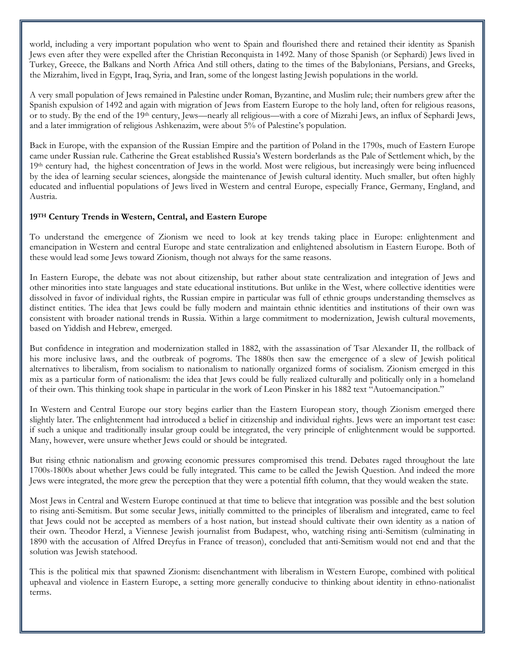world, including a very important population who went to Spain and flourished there and retained their identity as Spanish Jews even after they were expelled after the Christian Reconquista in 1492. Many of those Spanish (or Sephardi) Jews lived in Turkey, Greece, the Balkans and North Africa And still others, dating to the times of the Babylonians, Persians, and Greeks, the Mizrahim, lived in Egypt, Iraq, Syria, and Iran, some of the longest lasting Jewish populations in the world.

A very small population of Jews remained in Palestine under Roman, Byzantine, and Muslim rule; their numbers grew after the Spanish expulsion of 1492 and again with migration of Jews from Eastern Europe to the holy land, often for religious reasons, or to study. By the end of the 19th century, Jews—nearly all religious—with a core of Mizrahi Jews, an influx of Sephardi Jews, and a later immigration of religious Ashkenazim, were about 5% of Palestine's population.

Back in Europe, with the expansion of the Russian Empire and the partition of Poland in the 1790s, much of Eastern Europe came under Russian rule. Catherine the Great established Russia's Western borderlands as the Pale of Settlement which, by the 19th century had, the highest concentration of Jews in the world. Most were religious, but increasingly were being influenced by the idea of learning secular sciences, alongside the maintenance of Jewish cultural identity. Much smaller, but often highly educated and influential populations of Jews lived in Western and central Europe, especially France, Germany, England, and Austria.

# **19TH Century Trends in Western, Central, and Eastern Europe**

To understand the emergence of Zionism we need to look at key trends taking place in Europe: enlightenment and emancipation in Western and central Europe and state centralization and enlightened absolutism in Eastern Europe. Both of these would lead some Jews toward Zionism, though not always for the same reasons.

In Eastern Europe, the debate was not about citizenship, but rather about state centralization and integration of Jews and other minorities into state languages and state educational institutions. But unlike in the West, where collective identities were dissolved in favor of individual rights, the Russian empire in particular was full of ethnic groups understanding themselves as distinct entities. The idea that Jews could be fully modern and maintain ethnic identities and institutions of their own was consistent with broader national trends in Russia. Within a large commitment to modernization, Jewish cultural movements, based on Yiddish and Hebrew, emerged.

But confidence in integration and modernization stalled in 1882, with the assassination of Tsar Alexander II, the rollback of his more inclusive laws, and the outbreak of pogroms. The 1880s then saw the emergence of a slew of Jewish political alternatives to liberalism, from socialism to nationalism to nationally organized forms of socialism. Zionism emerged in this mix as a particular form of nationalism: the idea that Jews could be fully realized culturally and politically only in a homeland of their own. This thinking took shape in particular in the work of Leon Pinsker in his 1882 text "Autoemancipation."

In Western and Central Europe our story begins earlier than the Eastern European story, though Zionism emerged there slightly later. The enlightenment had introduced a belief in citizenship and individual rights. Jews were an important test case: if such a unique and traditionally insular group could be integrated, the very principle of enlightenment would be supported. Many, however, were unsure whether Jews could or should be integrated.

But rising ethnic nationalism and growing economic pressures compromised this trend. Debates raged throughout the late 1700s-1800s about whether Jews could be fully integrated. This came to be called the Jewish Question. And indeed the more Jews were integrated, the more grew the perception that they were a potential fifth column, that they would weaken the state.

Most Jews in Central and Western Europe continued at that time to believe that integration was possible and the best solution to rising anti-Semitism. But some secular Jews, initially committed to the principles of liberalism and integrated, came to feel that Jews could not be accepted as members of a host nation, but instead should cultivate their own identity as a nation of their own. Theodor Herzl, a Viennese Jewish journalist from Budapest, who, watching rising anti-Semitism (culminating in 1890 with the accusation of Alfred Dreyfus in France of treason), concluded that anti-Semitism would not end and that the solution was Jewish statehood.

This is the political mix that spawned Zionism: disenchantment with liberalism in Western Europe, combined with political upheaval and violence in Eastern Europe, a setting more generally conducive to thinking about identity in ethno-nationalist terms.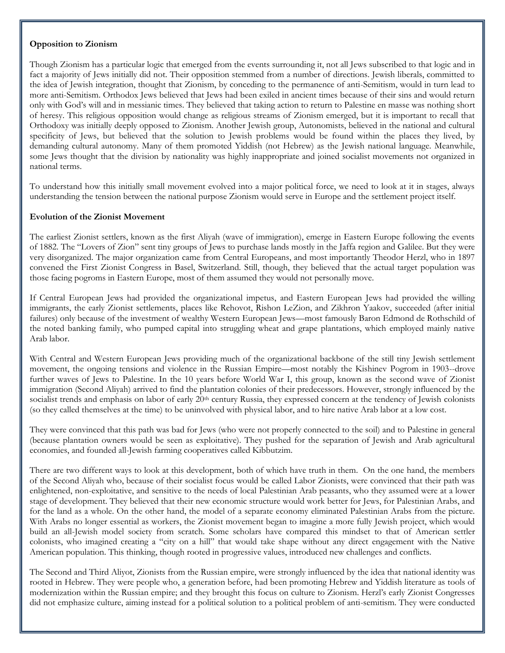#### **Opposition to Zionism**

Though Zionism has a particular logic that emerged from the events surrounding it, not all Jews subscribed to that logic and in fact a majority of Jews initially did not. Their opposition stemmed from a number of directions. Jewish liberals, committed to the idea of Jewish integration, thought that Zionism, by conceding to the permanence of anti-Semitism, would in turn lead to more anti-Semitism. Orthodox Jews believed that Jews had been exiled in ancient times because of their sins and would return only with God's will and in messianic times. They believed that taking action to return to Palestine en masse was nothing short of heresy. This religious opposition would change as religious streams of Zionism emerged, but it is important to recall that Orthodoxy was initially deeply opposed to Zionism. Another Jewish group, Autonomists, believed in the national and cultural specificity of Jews, but believed that the solution to Jewish problems would be found within the places they lived, by demanding cultural autonomy. Many of them promoted Yiddish (not Hebrew) as the Jewish national language. Meanwhile, some Jews thought that the division by nationality was highly inappropriate and joined socialist movements not organized in national terms.

To understand how this initially small movement evolved into a major political force, we need to look at it in stages, always understanding the tension between the national purpose Zionism would serve in Europe and the settlement project itself.

## **Evolution of the Zionist Movement**

The earliest Zionist settlers, known as the first Aliyah (wave of immigration), emerge in Eastern Europe following the events of 1882. The "Lovers of Zion" sent tiny groups of Jews to purchase lands mostly in the Jaffa region and Galilee. But they were very disorganized. The major organization came from Central Europeans, and most importantly Theodor Herzl, who in 1897 convened the First Zionist Congress in Basel, Switzerland. Still, though, they believed that the actual target population was those facing pogroms in Eastern Europe, most of them assumed they would not personally move.

If Central European Jews had provided the organizational impetus, and Eastern European Jews had provided the willing immigrants, the early Zionist settlements, places like Rehovot, Rishon LeZion, and Zikhron Yaakov, succeeded (after initial failures) only because of the investment of wealthy Western European Jews—most famously Baron Edmond de Rothschild of the noted banking family, who pumped capital into struggling wheat and grape plantations, which employed mainly native Arab labor.

With Central and Western European Jews providing much of the organizational backbone of the still tiny Jewish settlement movement, the ongoing tensions and violence in the Russian Empire—most notably the Kishinev Pogrom in 1903--drove further waves of Jews to Palestine. In the 10 years before World War I, this group, known as the second wave of Zionist immigration (Second Aliyah) arrived to find the plantation colonies of their predecessors. However, strongly influenced by the socialist trends and emphasis on labor of early 20<sup>th</sup> century Russia, they expressed concern at the tendency of Jewish colonists (so they called themselves at the time) to be uninvolved with physical labor, and to hire native Arab labor at a low cost.

They were convinced that this path was bad for Jews (who were not properly connected to the soil) and to Palestine in general (because plantation owners would be seen as exploitative). They pushed for the separation of Jewish and Arab agricultural economies, and founded all-Jewish farming cooperatives called Kibbutzim.

There are two different ways to look at this development, both of which have truth in them. On the one hand, the members of the Second Aliyah who, because of their socialist focus would be called Labor Zionists, were convinced that their path was enlightened, non-exploitative, and sensitive to the needs of local Palestinian Arab peasants, who they assumed were at a lower stage of development. They believed that their new economic structure would work better for Jews, for Palestinian Arabs, and for the land as a whole. On the other hand, the model of a separate economy eliminated Palestinian Arabs from the picture. With Arabs no longer essential as workers, the Zionist movement began to imagine a more fully Jewish project, which would build an all-Jewish model society from scratch. Some scholars have compared this mindset to that of American settler colonists, who imagined creating a "city on a hill" that would take shape without any direct engagement with the Native American population. This thinking, though rooted in progressive values, introduced new challenges and conflicts.

The Second and Third Aliyot, Zionists from the Russian empire, were strongly influenced by the idea that national identity was rooted in Hebrew. They were people who, a generation before, had been promoting Hebrew and Yiddish literature as tools of modernization within the Russian empire; and they brought this focus on culture to Zionism. Herzl's early Zionist Congresses did not emphasize culture, aiming instead for a political solution to a political problem of anti-semitism. They were conducted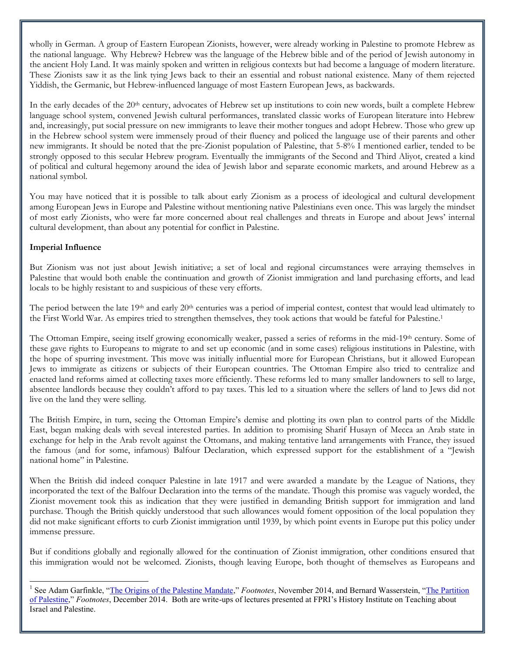wholly in German. A group of Eastern European Zionists, however, were already working in Palestine to promote Hebrew as the national language. Why Hebrew? Hebrew was the language of the Hebrew bible and of the period of Jewish autonomy in the ancient Holy Land. It was mainly spoken and written in religious contexts but had become a language of modern literature. These Zionists saw it as the link tying Jews back to their an essential and robust national existence. Many of them rejected Yiddish, the Germanic, but Hebrew-influenced language of most Eastern European Jews, as backwards.

In the early decades of the 20<sup>th</sup> century, advocates of Hebrew set up institutions to coin new words, built a complete Hebrew language school system, convened Jewish cultural performances, translated classic works of European literature into Hebrew and, increasingly, put social pressure on new immigrants to leave their mother tongues and adopt Hebrew. Those who grew up in the Hebrew school system were immensely proud of their fluency and policed the language use of their parents and other new immigrants. It should be noted that the pre-Zionist population of Palestine, that 5-8% I mentioned earlier, tended to be strongly opposed to this secular Hebrew program. Eventually the immigrants of the Second and Third Aliyot, created a kind of political and cultural hegemony around the idea of Jewish labor and separate economic markets, and around Hebrew as a national symbol.

You may have noticed that it is possible to talk about early Zionism as a process of ideological and cultural development among European Jews in Europe and Palestine without mentioning native Palestinians even once. This was largely the mindset of most early Zionists, who were far more concerned about real challenges and threats in Europe and about Jews' internal cultural development, than about any potential for conflict in Palestine.

# **Imperial Influence**

 $\overline{a}$ 

But Zionism was not just about Jewish initiative; a set of local and regional circumstances were arraying themselves in Palestine that would both enable the continuation and growth of Zionist immigration and land purchasing efforts, and lead locals to be highly resistant to and suspicious of these very efforts.

The period between the late  $19<sup>th</sup>$  and early  $20<sup>th</sup>$  centuries was a period of imperial contest, contest that would lead ultimately to the First World War. As empires tried to strengthen themselves, they took actions that would be fateful for Palestine.<sup>1</sup>

The Ottoman Empire, seeing itself growing economically weaker, passed a series of reforms in the mid-19th century. Some of these gave rights to Europeans to migrate to and set up economic (and in some cases) religious institutions in Palestine, with the hope of spurring investment. This move was initially influential more for European Christians, but it allowed European Jews to immigrate as citizens or subjects of their European countries. The Ottoman Empire also tried to centralize and enacted land reforms aimed at collecting taxes more efficiently. These reforms led to many smaller landowners to sell to large, absentee landlords because they couldn't afford to pay taxes. This led to a situation where the sellers of land to Jews did not live on the land they were selling.

The British Empire, in turn, seeing the Ottoman Empire's demise and plotting its own plan to control parts of the Middle East, began making deals with seveal interested parties. In addition to promising Sharif Husayn of Mecca an Arab state in exchange for help in the Arab revolt against the Ottomans, and making tentative land arrangements with France, they issued the famous (and for some, infamous) Balfour Declaration, which expressed support for the establishment of a "Jewish national home" in Palestine.

When the British did indeed conquer Palestine in late 1917 and were awarded a mandate by the League of Nations, they incorporated the text of the Balfour Declaration into the terms of the mandate. Though this promise was vaguely worded, the Zionist movement took this as indication that they were justified in demanding British support for immigration and land purchase. Though the British quickly understood that such allowances would foment opposition of the local population they did not make significant efforts to curb Zionist immigration until 1939, by which point events in Europe put this policy under immense pressure.

But if conditions globally and regionally allowed for the continuation of Zionist immigration, other conditions ensured that this immigration would not be welcomed. Zionists, though leaving Europe, both thought of themselves as Europeans and

<sup>1</sup> See Adam Garfinkle, "[The Origins of the Palestine Mandate](http://www.fpri.org/articles/2014/11/origins-palestine-mandate)," *Footnotes*, November 2014, and Bernard Wasserstein, "[The Partition](http://www.fpri.org/articles/2014/12/partition-palestine)  [of Palestine](http://www.fpri.org/articles/2014/12/partition-palestine)," *Footnotes*, December 2014. Both are write-ups of lectures presented at FPRI's History Institute on Teaching about Israel and Palestine.